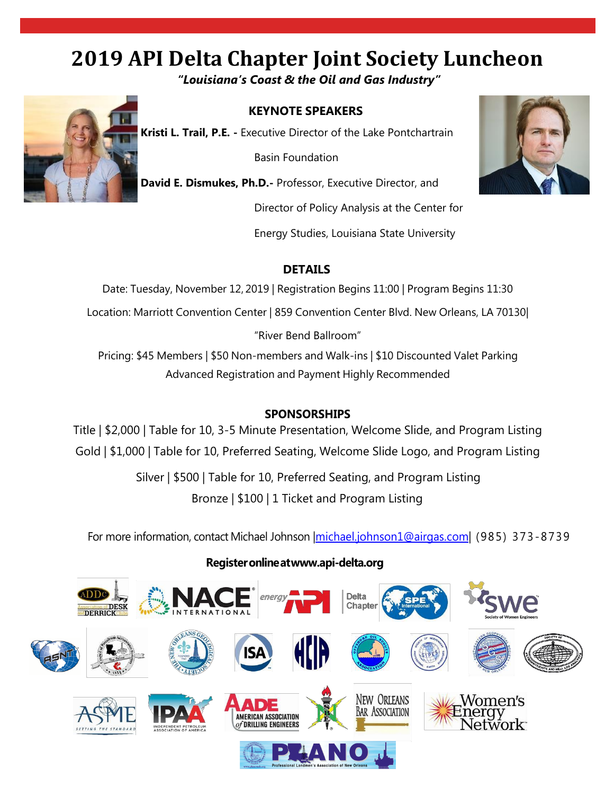# **2019 API Delta Chapter Joint Society Luncheon**

*"Louisiana's Coast & the Oil and Gas Industry"*



#### **KEYNOTE SPEAKERS**

**Kristi L. Trail, P.E. -** Executive Director of the Lake Pontchartrain

Basin Foundation

**David E. Dismukes, Ph.D.-** Professor, Executive Director, and

Director of Policy Analysis at the Center for

Energy Studies, Louisiana State University



#### **DETAILS**

Date: Tuesday, November 12, 2019 | Registration Begins 11:00 | Program Begins 11:30 Location: Marriott Convention Center | 859 Convention Center Blvd. New Orleans, LA 70130| "River Bend Ballroom" Pricing: \$45 Members | \$50 Non-members and Walk-ins | \$10 Discounted Valet Parking Advanced Registration and Payment Highly Recommended

#### **SPONSORSHIPS**

Title | \$2,000 | Table for 10, 3-5 Minute Presentation, Welcome Slide, and Program Listing Gold | \$1,000 | Table for 10, Preferred Seating, Welcome Slide Logo, and Program Listing

> Silver | \$500 | Table for 10, Preferred Seating, and Program Listing Bronze | \$100 | 1 Ticket and Program Listing

For more information, contact Michael Johnson | michael.johnson1@airgas.com | (985) 373-8739

#### **Registeronlinea[twww.api-delta.org](http://www.api-delta.org/)**